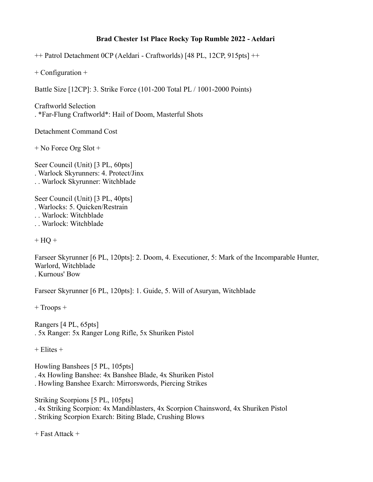## **Brad Chester 1st Place Rocky Top Rumble 2022 - Aeldari**

++ Patrol Detachment 0CP (Aeldari - Craftworlds) [48 PL, 12CP, 915pts] ++

+ Configuration +

Battle Size [12CP]: 3. Strike Force (101-200 Total PL / 1001-2000 Points)

Craftworld Selection . \*Far-Flung Craftworld\*: Hail of Doom, Masterful Shots

Detachment Command Cost

+ No Force Org Slot +

Seer Council (Unit) [3 PL, 60pts] . Warlock Skyrunners: 4. Protect/Jinx . . Warlock Skyrunner: Witchblade

Seer Council (Unit) [3 PL, 40pts] . Warlocks: 5. Quicken/Restrain . . Warlock: Witchblade

. . Warlock: Witchblade

 $+ HO +$ 

Farseer Skyrunner [6 PL, 120pts]: 2. Doom, 4. Executioner, 5: Mark of the Incomparable Hunter, Warlord, Witchblade . Kurnous' Bow

Farseer Skyrunner [6 PL, 120pts]: 1. Guide, 5. Will of Asuryan, Witchblade

+ Troops +

Rangers [4 PL, 65pts] . 5x Ranger: 5x Ranger Long Rifle, 5x Shuriken Pistol

 $+$  Elites  $+$ 

Howling Banshees [5 PL, 105pts] . 4x Howling Banshee: 4x Banshee Blade, 4x Shuriken Pistol . Howling Banshee Exarch: Mirrorswords, Piercing Strikes

Striking Scorpions [5 PL, 105pts]

. 4x Striking Scorpion: 4x Mandiblasters, 4x Scorpion Chainsword, 4x Shuriken Pistol

. Striking Scorpion Exarch: Biting Blade, Crushing Blows

+ Fast Attack +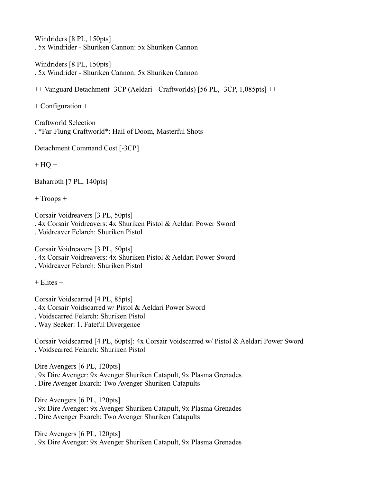Windriders [8 PL, 150pts] . 5x Windrider - Shuriken Cannon: 5x Shuriken Cannon

Windriders [8 PL, 150pts] . 5x Windrider - Shuriken Cannon: 5x Shuriken Cannon

++ Vanguard Detachment -3CP (Aeldari - Craftworlds) [56 PL, -3CP, 1,085pts] ++

+ Configuration +

Craftworld Selection . \*Far-Flung Craftworld\*: Hail of Doom, Masterful Shots

Detachment Command Cost [-3CP]

 $+ HO +$ 

Baharroth [7 PL, 140pts]

+ Troops +

Corsair Voidreavers [3 PL, 50pts] . 4x Corsair Voidreavers: 4x Shuriken Pistol & Aeldari Power Sword . Voidreaver Felarch: Shuriken Pistol

Corsair Voidreavers [3 PL, 50pts] . 4x Corsair Voidreavers: 4x Shuriken Pistol & Aeldari Power Sword . Voidreaver Felarch: Shuriken Pistol

 $+$  Elites  $+$ 

Corsair Voidscarred [4 PL, 85pts] . 4x Corsair Voidscarred w/ Pistol & Aeldari Power Sword . Voidscarred Felarch: Shuriken Pistol . Way Seeker: 1. Fateful Divergence

Corsair Voidscarred [4 PL, 60pts]: 4x Corsair Voidscarred w/ Pistol & Aeldari Power Sword . Voidscarred Felarch: Shuriken Pistol

Dire Avengers [6 PL, 120pts]

. 9x Dire Avenger: 9x Avenger Shuriken Catapult, 9x Plasma Grenades

. Dire Avenger Exarch: Two Avenger Shuriken Catapults

Dire Avengers [6 PL, 120pts]

. 9x Dire Avenger: 9x Avenger Shuriken Catapult, 9x Plasma Grenades

. Dire Avenger Exarch: Two Avenger Shuriken Catapults

Dire Avengers [6 PL, 120pts] . 9x Dire Avenger: 9x Avenger Shuriken Catapult, 9x Plasma Grenades